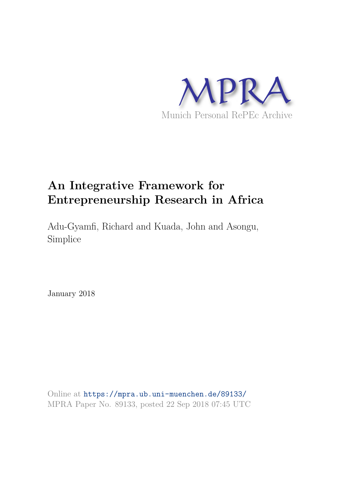

## **An Integrative Framework for Entrepreneurship Research in Africa**

Adu-Gyamfi, Richard and Kuada, John and Asongu, Simplice

January 2018

Online at https://mpra.ub.uni-muenchen.de/89133/ MPRA Paper No. 89133, posted 22 Sep 2018 07:45 UTC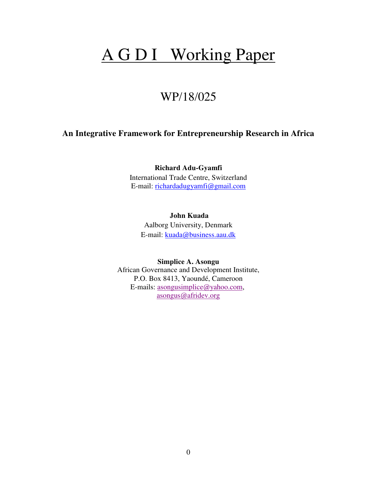# A G D I Working Paper

## WP/18/025

### **An Integrative Framework for Entrepreneurship Research in Africa**

**Richard Adu-Gyamfi**  International Trade Centre, Switzerland E-mail: [richardadugyamfi@gmail.com](mailto:richardadugyamfi@gmail.com) 

 **John Kuada**  Aalborg University, Denmark E-mail: [kuada@business.aau.dk](mailto:kuada@business.aau.dk) 

**Simplice A. Asongu** African Governance and Development Institute, P.O. Box 8413, Yaoundé, Cameroon E-mails: [asongusimplice@yahoo.com,](mailto:asongusimplice@yahoo.com) [asongus@afridev.org](mailto:asongus@afridev.org)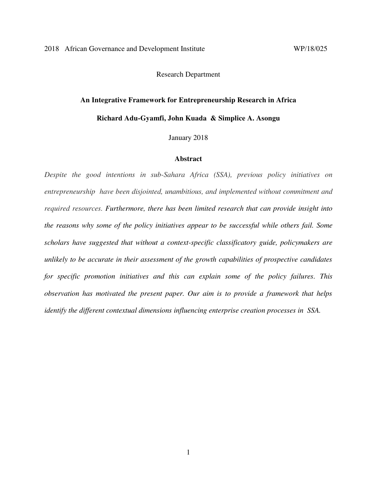Research Department

# **An Integrative Framework for Entrepreneurship Research in Africa**

**Richard Adu-Gyamfi, John Kuada & Simplice A. Asongu** 

January 2018

#### **Abstract**

*Despite the good intentions in sub-Sahara Africa (SSA), previous policy initiatives on entrepreneurship have been disjointed, unambitious, and implemented without commitment and required resources. Furthermore, there has been limited research that can provide insight into the reasons why some of the policy initiatives appear to be successful while others fail. Some scholars have suggested that without a context-specific classificatory guide, policymakers are unlikely to be accurate in their assessment of the growth capabilities of prospective candidates for specific promotion initiatives and this can explain some of the policy failures. This observation has motivated the present paper. Our aim is to provide a framework that helps identify the different contextual dimensions influencing enterprise creation processes in SSA.*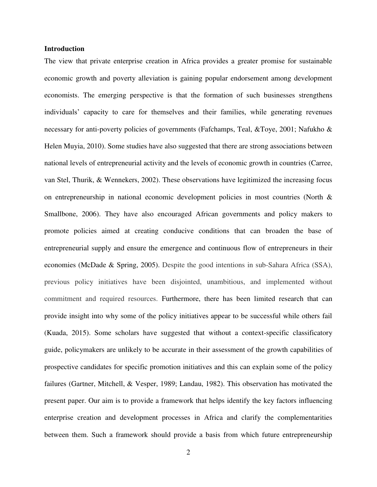#### **Introduction**

The view that private enterprise creation in Africa provides a greater promise for sustainable economic growth and poverty alleviation is gaining popular endorsement among development economists. The emerging perspective is that the formation of such businesses strengthens individuals' capacity to care for themselves and their families, while generating revenues necessary for anti-poverty policies of governments (Fafchamps, Teal, &Toye, 2001; Nafukho & Helen Muyia, 2010). Some studies have also suggested that there are strong associations between national levels of entrepreneurial activity and the levels of economic growth in countries (Carree, van Stel, Thurik, & Wennekers, 2002). These observations have legitimized the increasing focus on entrepreneurship in national economic development policies in most countries (North & Smallbone, 2006). They have also encouraged African governments and policy makers to promote policies aimed at creating conducive conditions that can broaden the base of entrepreneurial supply and ensure the emergence and continuous flow of entrepreneurs in their economies (McDade & Spring, 2005). Despite the good intentions in sub-Sahara Africa (SSA), previous policy initiatives have been disjointed, unambitious, and implemented without commitment and required resources. Furthermore, there has been limited research that can provide insight into why some of the policy initiatives appear to be successful while others fail (Kuada, 2015). Some scholars have suggested that without a context-specific classificatory guide, policymakers are unlikely to be accurate in their assessment of the growth capabilities of prospective candidates for specific promotion initiatives and this can explain some of the policy failures (Gartner, Mitchell, & Vesper, 1989; Landau, 1982). This observation has motivated the present paper. Our aim is to provide a framework that helps identify the key factors influencing enterprise creation and development processes in Africa and clarify the complementarities between them. Such a framework should provide a basis from which future entrepreneurship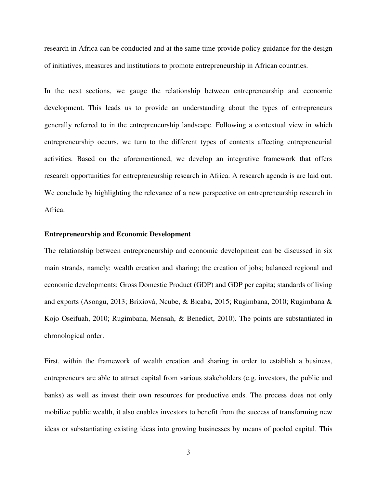research in Africa can be conducted and at the same time provide policy guidance for the design of initiatives, measures and institutions to promote entrepreneurship in African countries.

In the next sections, we gauge the relationship between entrepreneurship and economic development. This leads us to provide an understanding about the types of entrepreneurs generally referred to in the entrepreneurship landscape. Following a contextual view in which entrepreneurship occurs, we turn to the different types of contexts affecting entrepreneurial activities. Based on the aforementioned, we develop an integrative framework that offers research opportunities for entrepreneurship research in Africa. A research agenda is are laid out. We conclude by highlighting the relevance of a new perspective on entrepreneurship research in Africa.

#### **Entrepreneurship and Economic Development**

The relationship between entrepreneurship and economic development can be discussed in six main strands, namely: wealth creation and sharing; the creation of jobs; balanced regional and economic developments; Gross Domestic Product (GDP) and GDP per capita; standards of living and exports (Asongu, 2013; Brixiová, Ncube, & Bicaba, 2015; Rugimbana, 2010; Rugimbana & Kojo Oseifuah, 2010; Rugimbana, Mensah, & Benedict, 2010). The points are substantiated in chronological order.

First, within the framework of wealth creation and sharing in order to establish a business, entrepreneurs are able to attract capital from various stakeholders (e.g. investors, the public and banks) as well as invest their own resources for productive ends. The process does not only mobilize public wealth, it also enables investors to benefit from the success of transforming new ideas or substantiating existing ideas into growing businesses by means of pooled capital. This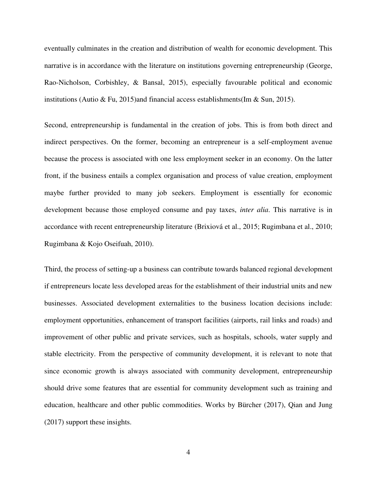eventually culminates in the creation and distribution of wealth for economic development. This narrative is in accordance with the literature on institutions governing entrepreneurship (George, Rao-Nicholson, Corbishley, & Bansal, 2015), especially favourable political and economic institutions (Autio & Fu, 2015)and financial access establishments(Im & Sun, 2015).

Second, entrepreneurship is fundamental in the creation of jobs. This is from both direct and indirect perspectives. On the former, becoming an entrepreneur is a self-employment avenue because the process is associated with one less employment seeker in an economy. On the latter front, if the business entails a complex organisation and process of value creation, employment maybe further provided to many job seekers. Employment is essentially for economic development because those employed consume and pay taxes, *inter alia*. This narrative is in accordance with recent entrepreneurship literature (Brixiová et al., 2015; Rugimbana et al., 2010; Rugimbana & Kojo Oseifuah, 2010).

Third, the process of setting-up a business can contribute towards balanced regional development if entrepreneurs locate less developed areas for the establishment of their industrial units and new businesses. Associated development externalities to the business location decisions include: employment opportunities, enhancement of transport facilities (airports, rail links and roads) and improvement of other public and private services, such as hospitals, schools, water supply and stable electricity. From the perspective of community development, it is relevant to note that since economic growth is always associated with community development, entrepreneurship should drive some features that are essential for community development such as training and education, healthcare and other public commodities. Works by Bürcher (2017), Qian and Jung (2017) support these insights.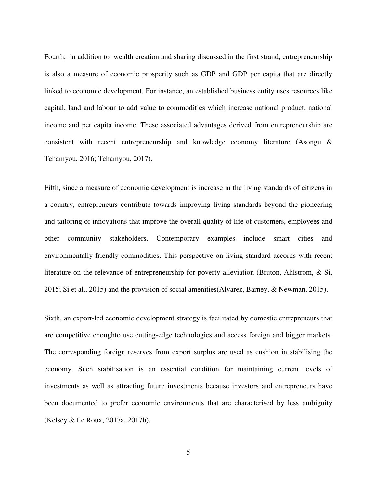Fourth, in addition to wealth creation and sharing discussed in the first strand, entrepreneurship is also a measure of economic prosperity such as GDP and GDP per capita that are directly linked to economic development. For instance, an established business entity uses resources like capital, land and labour to add value to commodities which increase national product, national income and per capita income. These associated advantages derived from entrepreneurship are consistent with recent entrepreneurship and knowledge economy literature (Asongu & Tchamyou, 2016; Tchamyou, 2017).

Fifth, since a measure of economic development is increase in the living standards of citizens in a country, entrepreneurs contribute towards improving living standards beyond the pioneering and tailoring of innovations that improve the overall quality of life of customers, employees and other community stakeholders. Contemporary examples include smart cities and environmentally-friendly commodities. This perspective on living standard accords with recent literature on the relevance of entrepreneurship for poverty alleviation (Bruton, Ahlstrom, & Si, 2015; Si et al., 2015) and the provision of social amenities(Alvarez, Barney, & Newman, 2015).

Sixth, an export-led economic development strategy is facilitated by domestic entrepreneurs that are competitive enoughto use cutting-edge technologies and access foreign and bigger markets. The corresponding foreign reserves from export surplus are used as cushion in stabilising the economy. Such stabilisation is an essential condition for maintaining current levels of investments as well as attracting future investments because investors and entrepreneurs have been documented to prefer economic environments that are characterised by less ambiguity (Kelsey & Le Roux, 2017a, 2017b).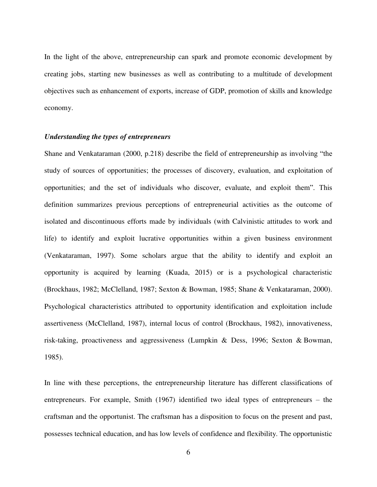In the light of the above, entrepreneurship can spark and promote economic development by creating jobs, starting new businesses as well as contributing to a multitude of development objectives such as enhancement of exports, increase of GDP, promotion of skills and knowledge economy.

#### *Understanding the types of entrepreneurs*

Shane and Venkataraman (2000, p.218) describe the field of entrepreneurship as involving "the study of sources of opportunities; the processes of discovery, evaluation, and exploitation of opportunities; and the set of individuals who discover, evaluate, and exploit them". This definition summarizes previous perceptions of entrepreneurial activities as the outcome of isolated and discontinuous efforts made by individuals (with Calvinistic attitudes to work and life) to identify and exploit lucrative opportunities within a given business environment (Venkataraman, 1997). Some scholars argue that the ability to identify and exploit an opportunity is acquired by learning (Kuada, 2015) or is a psychological characteristic (Brockhaus, 1982; McClelland, 1987; Sexton & Bowman, 1985; Shane & Venkataraman, 2000). Psychological characteristics attributed to opportunity identification and exploitation include assertiveness (McClelland, 1987), internal locus of control (Brockhaus, 1982), innovativeness, risk-taking, proactiveness and aggressiveness (Lumpkin & Dess, 1996; Sexton & Bowman, 1985).

In line with these perceptions, the entrepreneurship literature has different classifications of entrepreneurs. For example, Smith (1967) identified two ideal types of entrepreneurs – the craftsman and the opportunist. The craftsman has a disposition to focus on the present and past, possesses technical education, and has low levels of confidence and flexibility. The opportunistic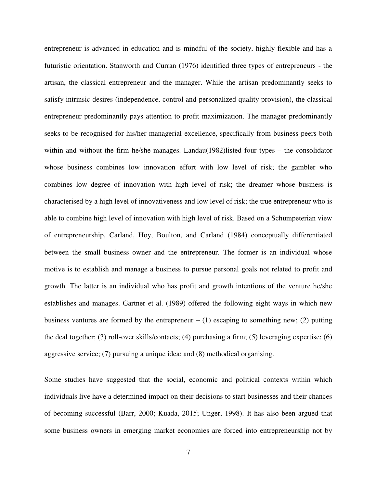entrepreneur is advanced in education and is mindful of the society, highly flexible and has a futuristic orientation. Stanworth and Curran (1976) identified three types of entrepreneurs - the artisan, the classical entrepreneur and the manager. While the artisan predominantly seeks to satisfy intrinsic desires (independence, control and personalized quality provision), the classical entrepreneur predominantly pays attention to profit maximization. The manager predominantly seeks to be recognised for his/her managerial excellence, specifically from business peers both within and without the firm he/she manages. Landau(1982)listed four types – the consolidator whose business combines low innovation effort with low level of risk; the gambler who combines low degree of innovation with high level of risk; the dreamer whose business is characterised by a high level of innovativeness and low level of risk; the true entrepreneur who is able to combine high level of innovation with high level of risk. Based on a Schumpeterian view of entrepreneurship, Carland, Hoy, Boulton, and Carland (1984) conceptually differentiated between the small business owner and the entrepreneur. The former is an individual whose motive is to establish and manage a business to pursue personal goals not related to profit and growth. The latter is an individual who has profit and growth intentions of the venture he/she establishes and manages. Gartner et al. (1989) offered the following eight ways in which new business ventures are formed by the entrepreneur  $- (1)$  escaping to something new; (2) putting the deal together; (3) roll-over skills/contacts; (4) purchasing a firm; (5) leveraging expertise; (6) aggressive service; (7) pursuing a unique idea; and (8) methodical organising.

Some studies have suggested that the social, economic and political contexts within which individuals live have a determined impact on their decisions to start businesses and their chances of becoming successful (Barr, 2000; Kuada, 2015; Unger, 1998). It has also been argued that some business owners in emerging market economies are forced into entrepreneurship not by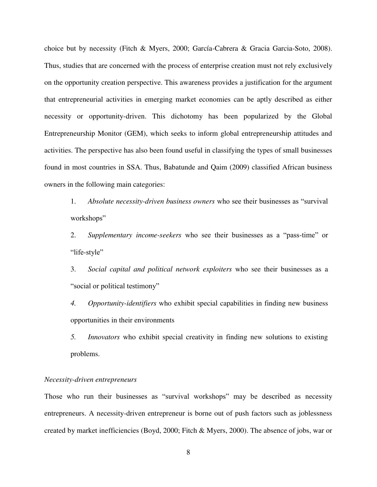choice but by necessity (Fitch & Myers, 2000; García-Cabrera & Gracia Garcia-Soto, 2008). Thus, studies that are concerned with the process of enterprise creation must not rely exclusively on the opportunity creation perspective. This awareness provides a justification for the argument that entrepreneurial activities in emerging market economies can be aptly described as either necessity or opportunity-driven. This dichotomy has been popularized by the Global Entrepreneurship Monitor (GEM), which seeks to inform global entrepreneurship attitudes and activities. The perspective has also been found useful in classifying the types of small businesses found in most countries in SSA. Thus, Babatunde and Qaim (2009) classified African business owners in the following main categories:

1. *Absolute necessity-driven business owners* who see their businesses as "survival workshops"

2. *Supplementary income-seekers* who see their businesses as a "pass-time" or "life-style"

3. *Social capital and political network exploiters* who see their businesses as a "social or political testimony"

*4. Opportunity-identifiers* who exhibit special capabilities in finding new business opportunities in their environments

*5. Innovators* who exhibit special creativity in finding new solutions to existing problems.

#### *Necessity-driven entrepreneurs*

Those who run their businesses as "survival workshops" may be described as necessity entrepreneurs. A necessity-driven entrepreneur is borne out of push factors such as joblessness created by market inefficiencies (Boyd, 2000; Fitch & Myers, 2000). The absence of jobs, war or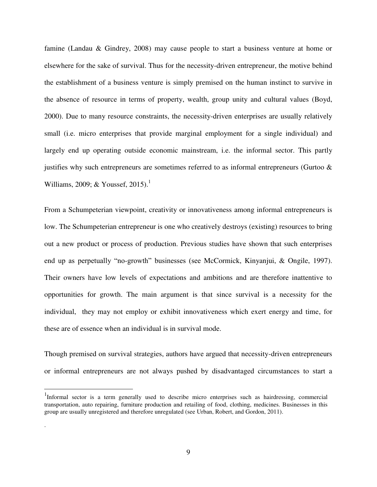famine (Landau & Gindrey, 2008) may cause people to start a business venture at home or elsewhere for the sake of survival. Thus for the necessity-driven entrepreneur, the motive behind the establishment of a business venture is simply premised on the human instinct to survive in the absence of resource in terms of property, wealth, group unity and cultural values (Boyd, 2000). Due to many resource constraints, the necessity-driven enterprises are usually relatively small (i.e. micro enterprises that provide marginal employment for a single individual) and largely end up operating outside economic mainstream, i.e. the informal sector. This partly justifies why such entrepreneurs are sometimes referred to as informal entrepreneurs (Gurtoo  $\&$ Williams, 2009; & Youssef, 2015).<sup>1</sup>

From a Schumpeterian viewpoint, creativity or innovativeness among informal entrepreneurs is low. The Schumpeterian entrepreneur is one who creatively destroys (existing) resources to bring out a new product or process of production. Previous studies have shown that such enterprises end up as perpetually "no-growth" businesses (see McCormick, Kinyanjui, & Ongile, 1997). Their owners have low levels of expectations and ambitions and are therefore inattentive to opportunities for growth. The main argument is that since survival is a necessity for the individual, they may not employ or exhibit innovativeness which exert energy and time, for these are of essence when an individual is in survival mode.

Though premised on survival strategies, authors have argued that necessity-driven entrepreneurs or informal entrepreneurs are not always pushed by disadvantaged circumstances to start a

 $\overline{a}$ 

.

<sup>&</sup>lt;sup>1</sup>Informal sector is a term generally used to describe micro enterprises such as hairdressing, commercial transportation, auto repairing, furniture production and retailing of food, clothing, medicines. Businesses in this group are usually unregistered and therefore unregulated (see Urban, Robert, and Gordon, 2011).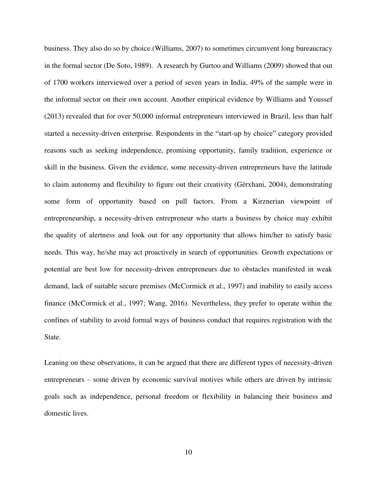business. They also do so by choice (Williams, 2007) to sometimes circumvent long bureaucracy in the formal sector (De Soto, 1989). A research by Gurtoo and Williams (2009) showed that out of 1700 workers interviewed over a period of seven years in India, 49% of the sample were in the informal sector on their own account. Another empirical evidence by Williams and Youssef (2013) revealed that for over 50,000 informal entrepreneurs interviewed in Brazil, less than half started a necessity-driven enterprise. Respondents in the "start-up by choice" category provided reasons such as seeking independence, promising opportunity, family tradition, experience or skill in the business. Given the evidence, some necessity-driven entrepreneurs have the latitude to claim autonomy and flexibility to figure out their creativity (Gërxhani, 2004), demonstrating some form of opportunity based on pull factors. From a Kirznerian viewpoint of entrepreneurship, a necessity-driven entrepreneur who starts a business by choice may exhibit the quality of alertness and look out for any opportunity that allows him/her to satisfy basic needs. This way, he/she may act proactively in search of opportunities. Growth expectations or potential are best low for necessity-driven entrepreneurs due to obstacles manifested in weak demand, lack of suitable secure premises (McCormick et al., 1997) and inability to easily access finance (McCormick et al., 1997; Wang, 2016). Nevertheless, they prefer to operate within the confines of stability to avoid formal ways of business conduct that requires registration with the State.

Leaning on these observations, it can be argued that there are different types of necessity-driven entrepreneurs – some driven by economic survival motives while others are driven by intrinsic goals such as independence, personal freedom or flexibility in balancing their business and domestic lives.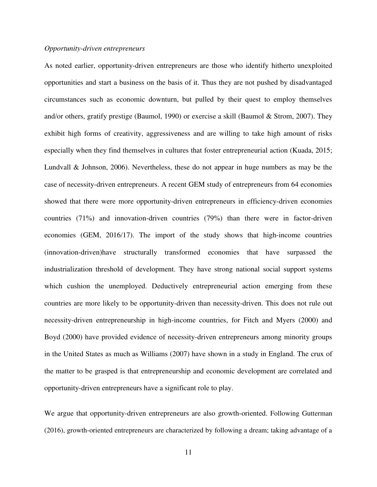#### *Opportunity-driven entrepreneurs*

As noted earlier, opportunity-driven entrepreneurs are those who identify hitherto unexploited opportunities and start a business on the basis of it. Thus they are not pushed by disadvantaged circumstances such as economic downturn, but pulled by their quest to employ themselves and/or others, gratify prestige (Baumol, 1990) or exercise a skill (Baumol & Strom, 2007). They exhibit high forms of creativity, aggressiveness and are willing to take high amount of risks especially when they find themselves in cultures that foster entrepreneurial action (Kuada, 2015; Lundvall & Johnson, 2006). Nevertheless, these do not appear in huge numbers as may be the case of necessity-driven entrepreneurs. A recent GEM study of entrepreneurs from 64 economies showed that there were more opportunity-driven entrepreneurs in efficiency-driven economies countries (71%) and innovation-driven countries (79%) than there were in factor-driven economies (GEM, 2016/17). The import of the study shows that high-income countries (innovation-driven)have structurally transformed economies that have surpassed the industrialization threshold of development. They have strong national social support systems which cushion the unemployed. Deductively entrepreneurial action emerging from these countries are more likely to be opportunity-driven than necessity-driven. This does not rule out necessity-driven entrepreneurship in high-income countries, for Fitch and Myers (2000) and Boyd (2000) have provided evidence of necessity-driven entrepreneurs among minority groups in the United States as much as Williams (2007) have shown in a study in England. The crux of the matter to be grasped is that entrepreneurship and economic development are correlated and opportunity-driven entrepreneurs have a significant role to play.

We argue that opportunity-driven entrepreneurs are also growth-oriented. Following Gutterman (2016), growth-oriented entrepreneurs are characterized by following a dream; taking advantage of a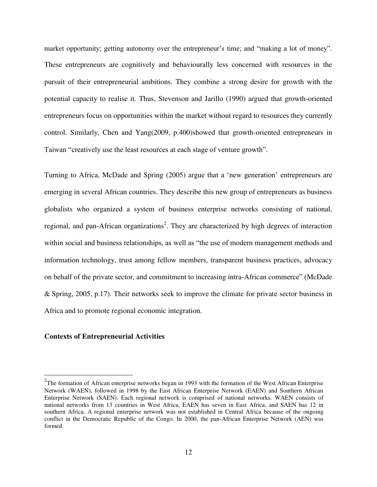market opportunity; getting autonomy over the entrepreneur's time; and "making a lot of money". These entrepreneurs are cognitively and behaviourally less concerned with resources in the pursuit of their entrepreneurial ambitions. They combine a strong desire for growth with the potential capacity to realise it. Thus, Stevenson and Jarillo (1990) argued that growth-oriented entrepreneurs focus on opportunities within the market without regard to resources they currently control. Similarly, Chen and Yang(2009, p.400)showed that growth-oriented entrepreneurs in Taiwan "creatively use the least resources at each stage of venture growth".

Turning to Africa, McDade and Spring (2005) argue that a 'new generation' entrepreneurs are emerging in several African countries. They describe this new group of entrepreneurs as business globalists who organized a system of business enterprise networks consisting of national, regional, and pan-African organizations<sup>2</sup>. They are characterized by high degrees of interaction within social and business relationships, as well as "the use of modern management methods and information technology, trust among fellow members, transparent business practices, advocacy on behalf of the private sector, and commitment to increasing intra-African commerce" (McDade & Spring, 2005, p.17). Their networks seek to improve the climate for private sector business in Africa and to promote regional economic integration.

#### **Contexts of Entrepreneurial Activities**

 $\overline{a}$ 

 $2$ The formation of African enterprise networks began in 1993 with the formation of the West African Enterprise Network (WAEN), followed in 1998 by the East African Enterprise Network (EAEN) and Southern African Enterprise Network (SAEN). Each regional network is comprised of national networks. WAEN consists of national networks from 13 countries in West Africa, EAEN has seven in East Africa, and SAEN has 12 in southern Africa. A regional enterprise network was not established in Central Africa because of the ongoing conflict in the Democratic Republic of the Congo. In 2000, the pan-African Enterprise Network (AEN) was formed.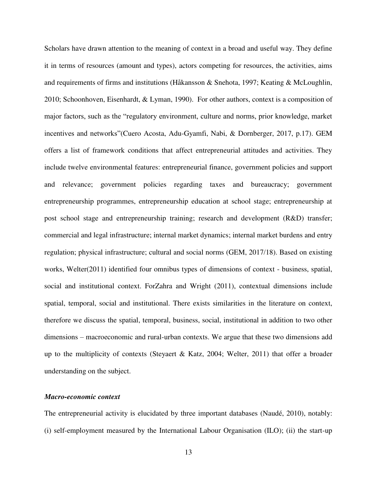Scholars have drawn attention to the meaning of context in a broad and useful way. They define it in terms of resources (amount and types), actors competing for resources, the activities, aims and requirements of firms and institutions (Håkansson & Snehota, 1997; Keating & McLoughlin, 2010; Schoonhoven, Eisenhardt, & Lyman, 1990). For other authors, context is a composition of major factors, such as the "regulatory environment, culture and norms, prior knowledge, market incentives and networks"(Cuero Acosta, Adu-Gyamfi, Nabi, & Dornberger, 2017, p.17). GEM offers a list of framework conditions that affect entrepreneurial attitudes and activities. They include twelve environmental features: entrepreneurial finance, government policies and support and relevance; government policies regarding taxes and bureaucracy; government entrepreneurship programmes, entrepreneurship education at school stage; entrepreneurship at post school stage and entrepreneurship training; research and development (R&D) transfer; commercial and legal infrastructure; internal market dynamics; internal market burdens and entry regulation; physical infrastructure; cultural and social norms (GEM, 2017/18). Based on existing works, Welter(2011) identified four omnibus types of dimensions of context - business, spatial, social and institutional context. ForZahra and Wright (2011), contextual dimensions include spatial, temporal, social and institutional. There exists similarities in the literature on context, therefore we discuss the spatial, temporal, business, social, institutional in addition to two other dimensions – macroeconomic and rural-urban contexts. We argue that these two dimensions add up to the multiplicity of contexts (Steyaert & Katz, 2004; Welter, 2011) that offer a broader understanding on the subject.

#### *Macro-economic context*

The entrepreneurial activity is elucidated by three important databases (Naudé, 2010), notably: (i) self-employment measured by the International Labour Organisation (ILO); (ii) the start-up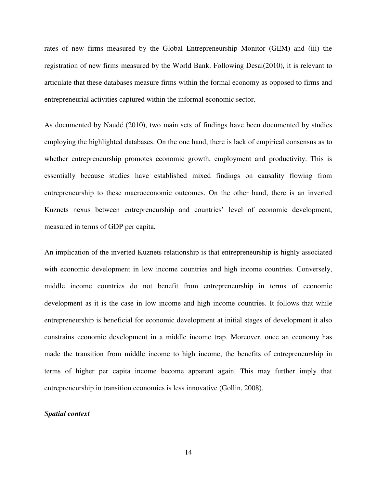rates of new firms measured by the Global Entrepreneurship Monitor (GEM) and (iii) the registration of new firms measured by the World Bank. Following Desai(2010), it is relevant to articulate that these databases measure firms within the formal economy as opposed to firms and entrepreneurial activities captured within the informal economic sector.

As documented by Naudé (2010), two main sets of findings have been documented by studies employing the highlighted databases. On the one hand, there is lack of empirical consensus as to whether entrepreneurship promotes economic growth, employment and productivity. This is essentially because studies have established mixed findings on causality flowing from entrepreneurship to these macroeconomic outcomes. On the other hand, there is an inverted Kuznets nexus between entrepreneurship and countries' level of economic development, measured in terms of GDP per capita.

An implication of the inverted Kuznets relationship is that entrepreneurship is highly associated with economic development in low income countries and high income countries. Conversely, middle income countries do not benefit from entrepreneurship in terms of economic development as it is the case in low income and high income countries. It follows that while entrepreneurship is beneficial for economic development at initial stages of development it also constrains economic development in a middle income trap. Moreover, once an economy has made the transition from middle income to high income, the benefits of entrepreneurship in terms of higher per capita income become apparent again. This may further imply that entrepreneurship in transition economies is less innovative (Gollin, 2008).

#### *Spatial context*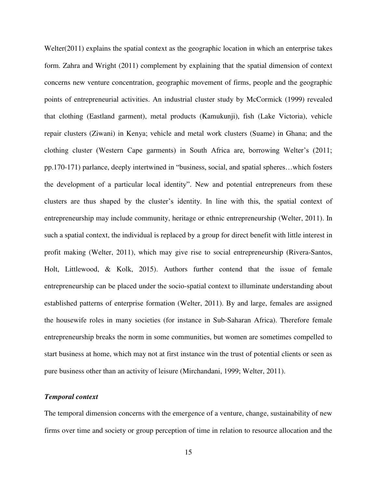Welter(2011) explains the spatial context as the geographic location in which an enterprise takes form. Zahra and Wright (2011) complement by explaining that the spatial dimension of context concerns new venture concentration, geographic movement of firms, people and the geographic points of entrepreneurial activities. An industrial cluster study by McCormick (1999) revealed that clothing (Eastland garment), metal products (Kamukunji), fish (Lake Victoria), vehicle repair clusters (Ziwani) in Kenya; vehicle and metal work clusters (Suame) in Ghana; and the clothing cluster (Western Cape garments) in South Africa are, borrowing Welter's (2011; pp.170-171) parlance, deeply intertwined in "business, social, and spatial spheres…which fosters the development of a particular local identity". New and potential entrepreneurs from these clusters are thus shaped by the cluster's identity. In line with this, the spatial context of entrepreneurship may include community, heritage or ethnic entrepreneurship (Welter, 2011). In such a spatial context, the individual is replaced by a group for direct benefit with little interest in profit making (Welter, 2011), which may give rise to social entrepreneurship (Rivera-Santos, Holt, Littlewood, & Kolk, 2015). Authors further contend that the issue of female entrepreneurship can be placed under the socio-spatial context to illuminate understanding about established patterns of enterprise formation (Welter, 2011). By and large, females are assigned the housewife roles in many societies (for instance in Sub-Saharan Africa). Therefore female entrepreneurship breaks the norm in some communities, but women are sometimes compelled to start business at home, which may not at first instance win the trust of potential clients or seen as pure business other than an activity of leisure (Mirchandani, 1999; Welter, 2011).

#### *Temporal context*

The temporal dimension concerns with the emergence of a venture, change, sustainability of new firms over time and society or group perception of time in relation to resource allocation and the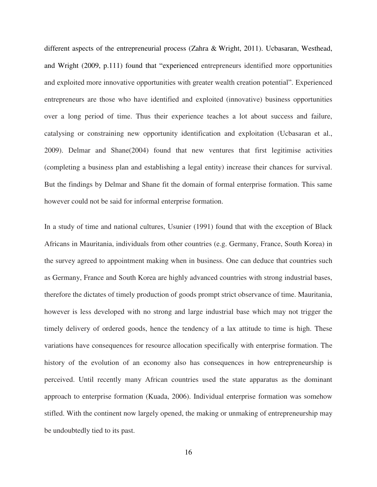different aspects of the entrepreneurial process (Zahra & Wright, 2011). Ucbasaran, Westhead, and Wright (2009, p.111) found that "experienced entrepreneurs identified more opportunities and exploited more innovative opportunities with greater wealth creation potential". Experienced entrepreneurs are those who have identified and exploited (innovative) business opportunities over a long period of time. Thus their experience teaches a lot about success and failure, catalysing or constraining new opportunity identification and exploitation (Ucbasaran et al., 2009). Delmar and Shane(2004) found that new ventures that first legitimise activities (completing a business plan and establishing a legal entity) increase their chances for survival. But the findings by Delmar and Shane fit the domain of formal enterprise formation. This same however could not be said for informal enterprise formation.

In a study of time and national cultures, Usunier (1991) found that with the exception of Black Africans in Mauritania, individuals from other countries (e.g. Germany, France, South Korea) in the survey agreed to appointment making when in business. One can deduce that countries such as Germany, France and South Korea are highly advanced countries with strong industrial bases, therefore the dictates of timely production of goods prompt strict observance of time. Mauritania, however is less developed with no strong and large industrial base which may not trigger the timely delivery of ordered goods, hence the tendency of a lax attitude to time is high. These variations have consequences for resource allocation specifically with enterprise formation. The history of the evolution of an economy also has consequences in how entrepreneurship is perceived. Until recently many African countries used the state apparatus as the dominant approach to enterprise formation (Kuada, 2006). Individual enterprise formation was somehow stifled. With the continent now largely opened, the making or unmaking of entrepreneurship may be undoubtedly tied to its past.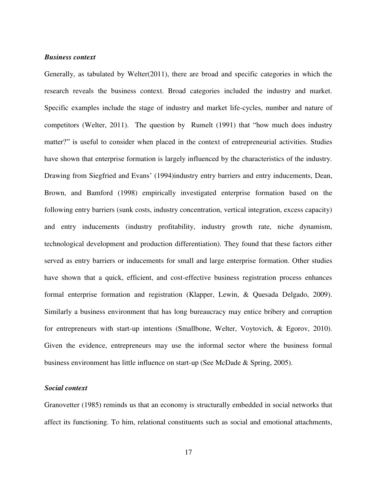#### *Business context*

Generally, as tabulated by Welter(2011), there are broad and specific categories in which the research reveals the business context. Broad categories included the industry and market. Specific examples include the stage of industry and market life-cycles, number and nature of competitors (Welter, 2011). The question by Rumelt (1991) that "how much does industry matter?" is useful to consider when placed in the context of entrepreneurial activities. Studies have shown that enterprise formation is largely influenced by the characteristics of the industry. Drawing from Siegfried and Evans' (1994)industry entry barriers and entry inducements, Dean, Brown, and Bamford (1998) empirically investigated enterprise formation based on the following entry barriers (sunk costs, industry concentration, vertical integration, excess capacity) and entry inducements (industry profitability, industry growth rate, niche dynamism, technological development and production differentiation). They found that these factors either served as entry barriers or inducements for small and large enterprise formation. Other studies have shown that a quick, efficient, and cost-effective business registration process enhances formal enterprise formation and registration (Klapper, Lewin, & Quesada Delgado, 2009). Similarly a business environment that has long bureaucracy may entice bribery and corruption for entrepreneurs with start-up intentions (Smallbone, Welter, Voytovich, & Egorov, 2010). Given the evidence, entrepreneurs may use the informal sector where the business formal business environment has little influence on start-up (See McDade & Spring, 2005).

#### *Social context*

Granovetter (1985) reminds us that an economy is structurally embedded in social networks that affect its functioning. To him, relational constituents such as social and emotional attachments,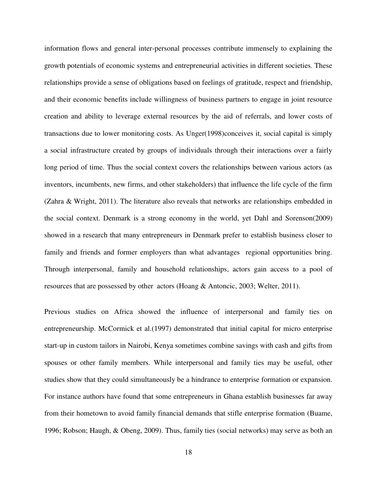information flows and general inter-personal processes contribute immensely to explaining the growth potentials of economic systems and entrepreneurial activities in different societies. These relationships provide a sense of obligations based on feelings of gratitude, respect and friendship, and their economic benefits include willingness of business partners to engage in joint resource creation and ability to leverage external resources by the aid of referrals, and lower costs of transactions due to lower monitoring costs. As Unger(1998)conceives it, social capital is simply a social infrastructure created by groups of individuals through their interactions over a fairly long period of time. Thus the social context covers the relationships between various actors (as inventors, incumbents, new firms, and other stakeholders) that influence the life cycle of the firm (Zahra & Wright, 2011). The literature also reveals that networks are relationships embedded in the social context. Denmark is a strong economy in the world, yet Dahl and Sorenson(2009) showed in a research that many entrepreneurs in Denmark prefer to establish business closer to family and friends and former employers than what advantages regional opportunities bring. Through interpersonal, family and household relationships, actors gain access to a pool of resources that are possessed by other actors (Hoang & Antoncic, 2003; Welter, 2011).

Previous studies on Africa showed the influence of interpersonal and family ties on entrepreneurship. McCormick et al.(1997) demonstrated that initial capital for micro enterprise start-up in custom tailors in Nairobi, Kenya sometimes combine savings with cash and gifts from spouses or other family members. While interpersonal and family ties may be useful, other studies show that they could simultaneously be a hindrance to enterprise formation or expansion. For instance authors have found that some entrepreneurs in Ghana establish businesses far away from their hometown to avoid family financial demands that stifle enterprise formation (Buame, 1996; Robson; Haugh, & Obeng, 2009). Thus, family ties (social networks) may serve as both an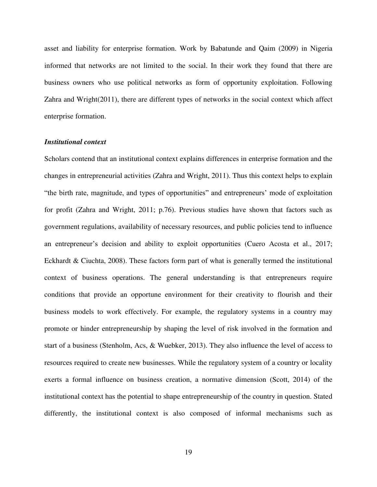asset and liability for enterprise formation. Work by Babatunde and Qaim (2009) in Nigeria informed that networks are not limited to the social. In their work they found that there are business owners who use political networks as form of opportunity exploitation. Following Zahra and Wright(2011), there are different types of networks in the social context which affect enterprise formation.

#### *Institutional context*

Scholars contend that an institutional context explains differences in enterprise formation and the changes in entrepreneurial activities (Zahra and Wright, 2011). Thus this context helps to explain "the birth rate, magnitude, and types of opportunities" and entrepreneurs' mode of exploitation for profit (Zahra and Wright, 2011; p.76). Previous studies have shown that factors such as government regulations, availability of necessary resources, and public policies tend to influence an entrepreneur's decision and ability to exploit opportunities (Cuero Acosta et al., 2017; Eckhardt & Ciuchta, 2008). These factors form part of what is generally termed the institutional context of business operations. The general understanding is that entrepreneurs require conditions that provide an opportune environment for their creativity to flourish and their business models to work effectively. For example, the regulatory systems in a country may promote or hinder entrepreneurship by shaping the level of risk involved in the formation and start of a business (Stenholm, Acs, & Wuebker, 2013). They also influence the level of access to resources required to create new businesses. While the regulatory system of a country or locality exerts a formal influence on business creation, a normative dimension (Scott, 2014) of the institutional context has the potential to shape entrepreneurship of the country in question. Stated differently, the institutional context is also composed of informal mechanisms such as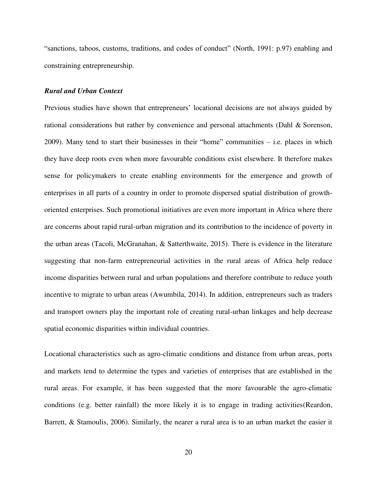"sanctions, taboos, customs, traditions, and codes of conduct" (North, 1991: p.97) enabling and constraining entrepreneurship.

#### *Rural and Urban Context*

Previous studies have shown that entrepreneurs' locational decisions are not always guided by rational considerations but rather by convenience and personal attachments (Dahl & Sorenson, 2009). Many tend to start their businesses in their "home" communities – i.e. places in which they have deep roots even when more favourable conditions exist elsewhere. It therefore makes sense for policymakers to create enabling environments for the emergence and growth of enterprises in all parts of a country in order to promote dispersed spatial distribution of growthoriented enterprises. Such promotional initiatives are even more important in Africa where there are concerns about rapid rural-urban migration and its contribution to the incidence of poverty in the urban areas (Tacoli, McGranahan, & Satterthwaite, 2015). There is evidence in the literature suggesting that non-farm entrepreneurial activities in the rural areas of Africa help reduce income disparities between rural and urban populations and therefore contribute to reduce youth incentive to migrate to urban areas (Awumbila, 2014). In addition, entrepreneurs such as traders and transport owners play the important role of creating rural-urban linkages and help decrease spatial economic disparities within individual countries.

Locational characteristics such as agro-climatic conditions and distance from urban areas, ports and markets tend to determine the types and varieties of enterprises that are established in the rural areas. For example, it has been suggested that the more favourable the agro-climatic conditions (e.g. better rainfall) the more likely it is to engage in trading activities(Reardon, Barrett, & Stamoulis, 2006). Similarly, the nearer a rural area is to an urban market the easier it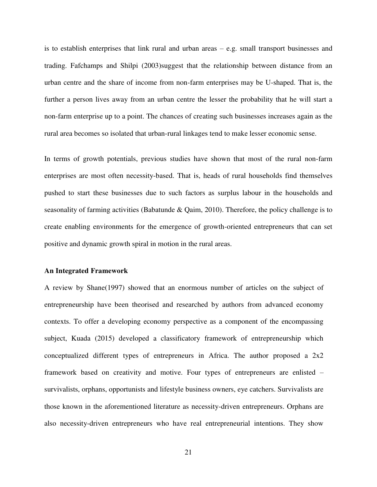is to establish enterprises that link rural and urban areas – e.g. small transport businesses and trading. Fafchamps and Shilpi (2003)suggest that the relationship between distance from an urban centre and the share of income from non-farm enterprises may be U-shaped. That is, the further a person lives away from an urban centre the lesser the probability that he will start a non-farm enterprise up to a point. The chances of creating such businesses increases again as the rural area becomes so isolated that urban-rural linkages tend to make lesser economic sense.

In terms of growth potentials, previous studies have shown that most of the rural non-farm enterprises are most often necessity-based. That is, heads of rural households find themselves pushed to start these businesses due to such factors as surplus labour in the households and seasonality of farming activities (Babatunde & Qaim, 2010). Therefore, the policy challenge is to create enabling environments for the emergence of growth-oriented entrepreneurs that can set positive and dynamic growth spiral in motion in the rural areas.

#### **An Integrated Framework**

A review by Shane(1997) showed that an enormous number of articles on the subject of entrepreneurship have been theorised and researched by authors from advanced economy contexts. To offer a developing economy perspective as a component of the encompassing subject, Kuada (2015) developed a classificatory framework of entrepreneurship which conceptualized different types of entrepreneurs in Africa. The author proposed a 2x2 framework based on creativity and motive. Four types of entrepreneurs are enlisted – survivalists, orphans, opportunists and lifestyle business owners, eye catchers. Survivalists are those known in the aforementioned literature as necessity-driven entrepreneurs. Orphans are also necessity-driven entrepreneurs who have real entrepreneurial intentions. They show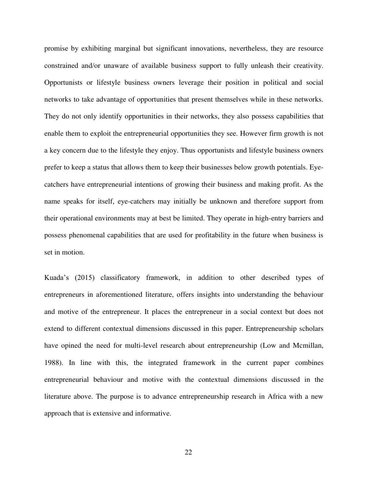promise by exhibiting marginal but significant innovations, nevertheless, they are resource constrained and/or unaware of available business support to fully unleash their creativity. Opportunists or lifestyle business owners leverage their position in political and social networks to take advantage of opportunities that present themselves while in these networks. They do not only identify opportunities in their networks, they also possess capabilities that enable them to exploit the entrepreneurial opportunities they see. However firm growth is not a key concern due to the lifestyle they enjoy. Thus opportunists and lifestyle business owners prefer to keep a status that allows them to keep their businesses below growth potentials. Eyecatchers have entrepreneurial intentions of growing their business and making profit. As the name speaks for itself, eye-catchers may initially be unknown and therefore support from their operational environments may at best be limited. They operate in high-entry barriers and possess phenomenal capabilities that are used for profitability in the future when business is set in motion.

Kuada's (2015) classificatory framework, in addition to other described types of entrepreneurs in aforementioned literature, offers insights into understanding the behaviour and motive of the entrepreneur. It places the entrepreneur in a social context but does not extend to different contextual dimensions discussed in this paper. Entrepreneurship scholars have opined the need for multi-level research about entrepreneurship (Low and Mcmillan, 1988). In line with this, the integrated framework in the current paper combines entrepreneurial behaviour and motive with the contextual dimensions discussed in the literature above. The purpose is to advance entrepreneurship research in Africa with a new approach that is extensive and informative.

22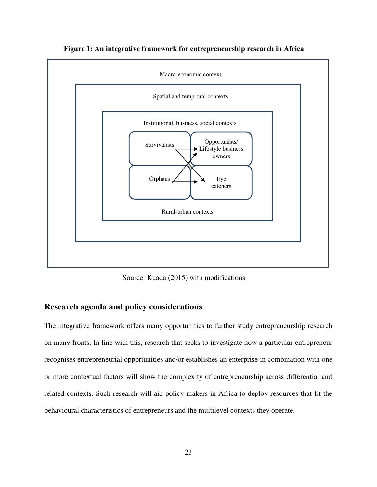

**Figure 1: An integrative framework for entrepreneurship research in Africa** 

Source: Kuada (2015) with modifications

### **Research agenda and policy considerations**

The integrative framework offers many opportunities to further study entrepreneurship research on many fronts. In line with this, research that seeks to investigate how a particular entrepreneur recognises entrepreneurial opportunities and/or establishes an enterprise in combination with one or more contextual factors will show the complexity of entrepreneurship across differential and related contexts. Such research will aid policy makers in Africa to deploy resources that fit the behavioural characteristics of entrepreneurs and the multilevel contexts they operate.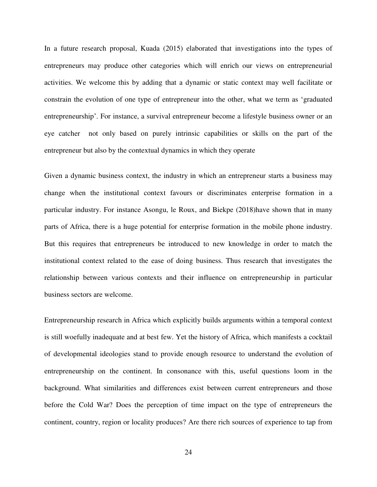In a future research proposal, Kuada (2015) elaborated that investigations into the types of entrepreneurs may produce other categories which will enrich our views on entrepreneurial activities. We welcome this by adding that a dynamic or static context may well facilitate or constrain the evolution of one type of entrepreneur into the other, what we term as 'graduated entrepreneurship'. For instance, a survival entrepreneur become a lifestyle business owner or an eye catcher not only based on purely intrinsic capabilities or skills on the part of the entrepreneur but also by the contextual dynamics in which they operate

Given a dynamic business context, the industry in which an entrepreneur starts a business may change when the institutional context favours or discriminates enterprise formation in a particular industry. For instance Asongu, le Roux, and Biekpe (2018)have shown that in many parts of Africa, there is a huge potential for enterprise formation in the mobile phone industry. But this requires that entrepreneurs be introduced to new knowledge in order to match the institutional context related to the ease of doing business. Thus research that investigates the relationship between various contexts and their influence on entrepreneurship in particular business sectors are welcome.

Entrepreneurship research in Africa which explicitly builds arguments within a temporal context is still woefully inadequate and at best few. Yet the history of Africa, which manifests a cocktail of developmental ideologies stand to provide enough resource to understand the evolution of entrepreneurship on the continent. In consonance with this, useful questions loom in the background. What similarities and differences exist between current entrepreneurs and those before the Cold War? Does the perception of time impact on the type of entrepreneurs the continent, country, region or locality produces? Are there rich sources of experience to tap from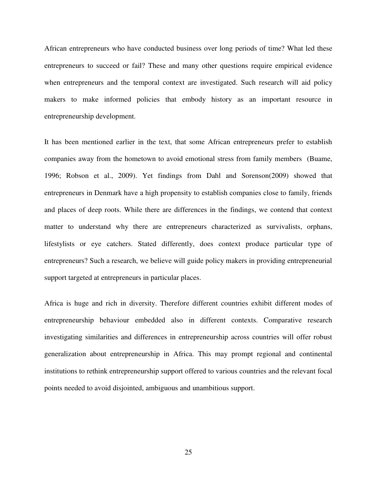African entrepreneurs who have conducted business over long periods of time? What led these entrepreneurs to succeed or fail? These and many other questions require empirical evidence when entrepreneurs and the temporal context are investigated. Such research will aid policy makers to make informed policies that embody history as an important resource in entrepreneurship development.

It has been mentioned earlier in the text, that some African entrepreneurs prefer to establish companies away from the hometown to avoid emotional stress from family members (Buame, 1996; Robson et al., 2009). Yet findings from Dahl and Sorenson(2009) showed that entrepreneurs in Denmark have a high propensity to establish companies close to family, friends and places of deep roots. While there are differences in the findings, we contend that context matter to understand why there are entrepreneurs characterized as survivalists, orphans, lifestylists or eye catchers. Stated differently, does context produce particular type of entrepreneurs? Such a research, we believe will guide policy makers in providing entrepreneurial support targeted at entrepreneurs in particular places.

Africa is huge and rich in diversity. Therefore different countries exhibit different modes of entrepreneurship behaviour embedded also in different contexts. Comparative research investigating similarities and differences in entrepreneurship across countries will offer robust generalization about entrepreneurship in Africa. This may prompt regional and continental institutions to rethink entrepreneurship support offered to various countries and the relevant focal points needed to avoid disjointed, ambiguous and unambitious support.

25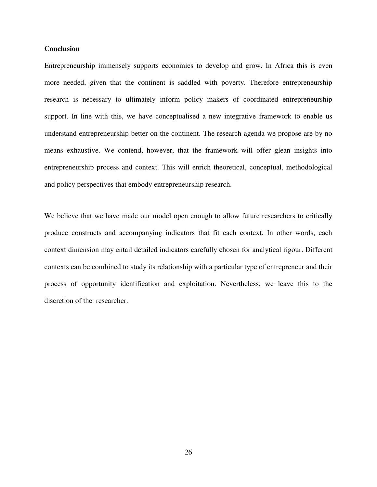#### **Conclusion**

Entrepreneurship immensely supports economies to develop and grow. In Africa this is even more needed, given that the continent is saddled with poverty. Therefore entrepreneurship research is necessary to ultimately inform policy makers of coordinated entrepreneurship support. In line with this, we have conceptualised a new integrative framework to enable us understand entrepreneurship better on the continent. The research agenda we propose are by no means exhaustive. We contend, however, that the framework will offer glean insights into entrepreneurship process and context. This will enrich theoretical, conceptual, methodological and policy perspectives that embody entrepreneurship research.

We believe that we have made our model open enough to allow future researchers to critically produce constructs and accompanying indicators that fit each context. In other words, each context dimension may entail detailed indicators carefully chosen for analytical rigour. Different contexts can be combined to study its relationship with a particular type of entrepreneur and their process of opportunity identification and exploitation. Nevertheless, we leave this to the discretion of the researcher.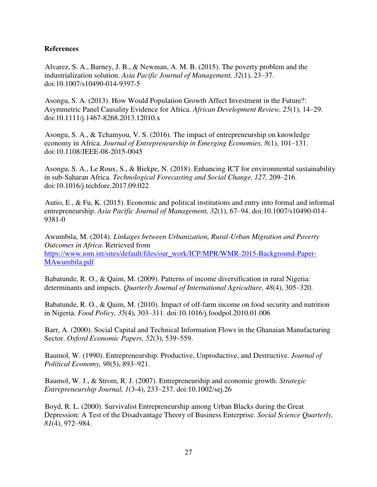#### **References**

Alvarez, S. A., Barney, J. B., & Newman, A. M. B. (2015). The poverty problem and the industrialization solution. *Asia Pacific Journal of Management, 32*(1), 23–37. doi:10.1007/s10490-014-9397-5

Asongu, S. A. (2013). How Would Population Growth Affect Investment in the Future?: Asymmetric Panel Causality Evidence for Africa. *African Development Review, 25*(1), 14–29. doi:10.1111/j.1467-8268.2013.12010.x

Asongu, S. A., & Tchamyou, V. S. (2016). The impact of entrepreneurship on knowledge economy in Africa. *Journal of Entrepreneurship in Emerging Economies, 8*(1), 101–131. doi:10.1108/JEEE-08-2015-0045

Asongu, S. A., Le Roux, S., & Biekpe, N. (2018). Enhancing ICT for environmental sustainability in sub-Saharan Africa. *Technological Forecasting and Social Change, 127,* 209–216. doi:10.1016/j.techfore.2017.09.022

Autio, E., & Fu, K. (2015). Economic and political institutions and entry into formal and informal entrepreneurship. *Asia Pacific Journal of Management, 32*(1), 67–94. doi:10.1007/s10490-014- 9381-0

Awumbila, M. (2014). *Linkages between Urbanization, Rural-Urban Migration and Poverty Outcomes in Africa*. Retrieved from [https://www.iom.int/sites/default/files/our\\_work/ICP/MPR/WMR-2015-Background-Paper-](https://www.iom.int/sites/default/files/our_work/ICP/MPR/WMR-2015-Background-Paper-MAwumbila.pdf)[MAwumbila.pdf](https://www.iom.int/sites/default/files/our_work/ICP/MPR/WMR-2015-Background-Paper-MAwumbila.pdf)

Babatunde, R. O., & Qaim, M. (2009). Patterns of income diversification in rural Nigeria: determinants and impacts. *Quarterly Journal of International Agriculture, 48*(4), 305–320.

Babatunde, R. O., & Qaim, M. (2010). Impact of off-farm income on food security and nutrition in Nigeria. *Food Policy, 35*(4), 303–311. doi:10.1016/j.foodpol.2010.01.006

Barr, A. (2000). Social Capital and Technical Information Flows in the Ghanaian Manufacturing Sector. *Oxford Economic Papers, 52*(3), 539–559.

Baumol, W. (1990). Entrepreneurship: Productive, Unproductive, and Destructive. *Journal of Political Economy, 98*(5), 893–921.

Baumol, W. J., & Strom, R. J. (2007). Entrepreneurship and economic growth. *Strategic Entrepreneurship Journal, 1*(3-4), 233–237. doi:10.1002/sej.26

Boyd, R. L. (2000). Survivalist Entrepreneurship among Urban Blacks during the Great Depression: A Test of the Disadvantage Theory of Business Enterprise. *Social Science Quarterly, 81*(4), 972–984.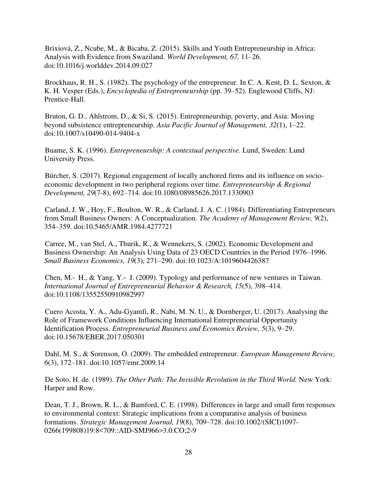Brixiová, Z., Ncube, M., & Bicaba, Z. (2015). Skills and Youth Entrepreneurship in Africa: Analysis with Evidence from Swaziland. *World Development, 67,* 11–26. doi:10.1016/j.worlddev.2014.09.027

Brockhaus, R. H., S. (1982). The psychology of the entrepreneur. In C. A. Kent, D. L. Sexton, & K. H. Vesper (Eds.), *Encyclopedia of Entrepreneurship* (pp. 39–52). Englewood Cliffs, NJ: Prentice-Hall.

Bruton, G. D., Ahlstrom, D., & Si, S. (2015). Entrepreneurship, poverty, and Asia: Moving beyond subsistence entrepreneurship. *Asia Pacific Journal of Management, 32*(1), 1–22. doi:10.1007/s10490-014-9404-x

Buame, S. K. (1996). *Entrepreneurship: A contextual perspective*. Lund, Sweden: Lund University Press.

Bürcher, S. (2017). Regional engagement of locally anchored firms and its influence on socioeconomic development in two peripheral regions over time. *Entrepreneurship & Regional Development, 29*(7-8), 692–714. doi:10.1080/08985626.2017.1330903

Carland, J. W., Hoy, F., Boulton, W. R., & Carland, J. A. C. (1984). Differentiating Entrepreneurs from Small Business Owners: A Conceptualization. *The Academy of Management Review, 9*(2), 354–359. doi:10.5465/AMR.1984.4277721

Carree, M., van Stel, A., Thurik, R., & Wennekers, S. (2002). Economic Development and Business Ownership: An Analysis Using Data of 23 OECD Countries in the Period 1976–1996. *Small Business Economics, 19*(3), 271–290. doi:10.1023/A:1019604426387

Chen, M.‐ H., & Yang, Y.‐ J. (2009). Typology and performance of new ventures in Taiwan. *International Journal of Entrepreneurial Behavior & Research, 15*(5), 398–414. doi:10.1108/13552550910982997

Cuero Acosta, Y. A., Adu-Gyamfi, R., Nabi, M. N. U., & Dornberger, U. (2017). Analysing the Role of Framework Conditions Influencing International Entrepreneurial Opportunity Identification Process. *Entrepreneurial Business and Economics Review, 5*(3), 9–29. doi:10.15678/EBER.2017.050301

Dahl, M. S., & Sorenson, O. (2009). The embedded entrepreneur. *European Management Review, 6*(3), 172–181. doi:10.1057/emr.2009.14

De Soto, H. de. (1989). *The Other Path: The Invisible Revolution in the Third World.* New York: Harper and Row.

Dean, T. J., Brown, R. L., & Bamford, C. E. (1998). Differences in large and small firm responses to environmental context: Strategic implications from a comparative analysis of business formations. *Strategic Management Journal, 19*(8), 709–728. doi:10.1002/(SICI)1097- 0266(199808)19:8<709::AID-SMJ966>3.0.CO;2-9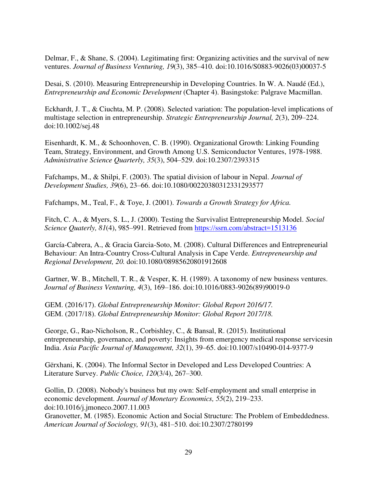Delmar, F., & Shane, S. (2004). Legitimating first: Organizing activities and the survival of new ventures. *Journal of Business Venturing, 19*(3), 385–410. doi:10.1016/S0883-9026(03)00037-5

Desai, S. (2010). Measuring Entrepreneurship in Developing Countries. In W. A. Naudé (Ed.), *Entrepreneurship and Economic Development* (Chapter 4). Basingstoke: Palgrave Macmillan.

Eckhardt, J. T., & Ciuchta, M. P. (2008). Selected variation: The population-level implications of multistage selection in entrepreneurship. *Strategic Entrepreneurship Journal, 2*(3), 209–224. doi:10.1002/sej.48

Eisenhardt, K. M., & Schoonhoven, C. B. (1990). Organizational Growth: Linking Founding Team, Strategy, Environment, and Growth Among U.S. Semiconductor Ventures, 1978-1988. *Administrative Science Quarterly, 35*(3), 504–529. doi:10.2307/2393315

Fafchamps, M., & Shilpi, F. (2003). The spatial division of labour in Nepal. *Journal of Development Studies, 39*(6), 23–66. doi:10.1080/00220380312331293577

Fafchamps, M., Teal, F., & Toye, J. (2001). *Towards a Growth Strategy for Africa.* 

Fitch, C. A., & Myers, S. L., J. (2000). Testing the Survivalist Entrepreneurship Model. *Social Science Quaterly, 81*(4), 985–991. Retrieved from<https://ssrn.com/abstract=1513136>

García-Cabrera, A., & Gracia Garcia-Soto, M. (2008). Cultural Differences and Entrepreneurial Behaviour: An Intra-Country Cross-Cultural Analysis in Cape Verde. *Entrepreneurship and Regional Development, 20.* doi:10.1080/08985620801912608

Gartner, W. B., Mitchell, T. R., & Vesper, K. H. (1989). A taxonomy of new business ventures. *Journal of Business Venturing, 4*(3), 169–186. doi:10.1016/0883-9026(89)90019-0

GEM. (2016/17). *Global Entrepreneurship Monitor: Global Report 2016/17.* GEM. (2017/18). *Global Entrepreneurship Monitor: Global Report 2017/18.* 

George, G., Rao-Nicholson, R., Corbishley, C., & Bansal, R. (2015). Institutional entrepreneurship, governance, and poverty: Insights from emergency medical response servicesin India. *Asia Pacific Journal of Management, 32*(1), 39–65. doi:10.1007/s10490-014-9377-9

Gërxhani, K. (2004). The Informal Sector in Developed and Less Developed Countries: A Literature Survey. *Public Choice, 120*(3/4), 267–300.

Gollin, D. (2008). Nobody's business but my own: Self-employment and small enterprise in economic development. *Journal of Monetary Economics, 55*(2), 219–233. doi:10.1016/j.jmoneco.2007.11.003

Granovetter, M. (1985). Economic Action and Social Structure: The Problem of Embeddedness. *American Journal of Sociology, 91*(3), 481–510. doi:10.2307/2780199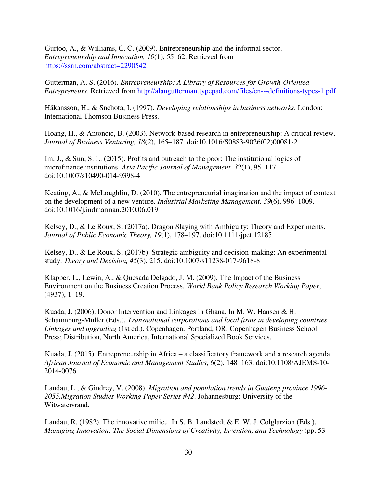Gurtoo, A., & Williams, C. C. (2009). Entrepreneurship and the informal sector. *Entrepreneurship and Innovation, 10*(1), 55–62. Retrieved from <https://ssrn.com/abstract=2290542>

Gutterman, A. S. (2016). *Entrepreneurship: A Library of Resources for Growth-Oriented Entrepreneurs*. Retrieved from<http://alangutterman.typepad.com/files/en---definitions-types-1.pdf>

Håkansson, H., & Snehota, I. (1997). *Developing relationships in business networks*. London: International Thomson Business Press.

Hoang, H., & Antoncic, B. (2003). Network-based research in entrepreneurship: A critical review. *Journal of Business Venturing, 18*(2), 165–187. doi:10.1016/S0883-9026(02)00081-2

Im, J., & Sun, S. L. (2015). Profits and outreach to the poor: The institutional logics of microfinance institutions. *Asia Pacific Journal of Management, 32*(1), 95–117. doi:10.1007/s10490-014-9398-4

Keating, A., & McLoughlin, D. (2010). The entrepreneurial imagination and the impact of context on the development of a new venture. *Industrial Marketing Management, 39*(6), 996–1009. doi:10.1016/j.indmarman.2010.06.019

Kelsey, D., & Le Roux, S. (2017a). Dragon Slaying with Ambiguity: Theory and Experiments. *Journal of Public Economic Theory, 19*(1), 178–197. doi:10.1111/jpet.12185

Kelsey, D., & Le Roux, S. (2017b). Strategic ambiguity and decision-making: An experimental study. *Theory and Decision, 45*(3), 215. doi:10.1007/s11238-017-9618-8

Klapper, L., Lewin, A., & Quesada Delgado, J. M. (2009). The Impact of the Business Environment on the Business Creation Process. *World Bank Policy Research Working Paper*, (4937), 1–19.

Kuada, J. (2006). Donor Intervention and Linkages in Ghana. In M. W. Hansen & H. Schaumburg-Müller (Eds.), *Transnational corporations and local firms in developing countries. Linkages and upgrading* (1st ed.). Copenhagen, Portland, OR: Copenhagen Business School Press; Distribution, North America, International Specialized Book Services.

Kuada, J. (2015). Entrepreneurship in Africa – a classificatory framework and a research agenda. *African Journal of Economic and Management Studies, 6*(2), 148–163. doi:10.1108/AJEMS-10- 2014-0076

Landau, L., & Gindrey, V. (2008). *Migration and population trends in Guateng province 1996- 2055.Migration Studies Working Paper Series #42*. Johannesburg: University of the Witwatersrand.

Landau, R. (1982). The innovative milieu. In S. B. Landstedt & E. W. J. Colglarzion (Eds.), *Managing Innovation: The Social Dimensions of Creativity, Invention, and Technology (pp. 53–*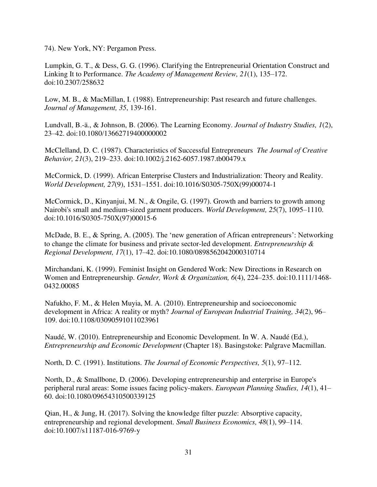74). New York, NY: Pergamon Press.

Lumpkin, G. T., & Dess, G. G. (1996). Clarifying the Entrepreneurial Orientation Construct and Linking It to Performance. *The Academy of Management Review, 21*(1), 135–172. doi:10.2307/258632

Low, M. B., & MacMillan, I. (1988). Entrepreneurship: Past research and future challenges. *Journal of Management, 35*, 139-161.

Lundvall, B.-ä., & Johnson, B. (2006). The Learning Economy. *Journal of Industry Studies, 1*(2), 23–42. doi:10.1080/13662719400000002

McClelland, D. C. (1987). Characteristics of Successful Entrepreneurs *The Journal of Creative Behavior, 21*(3), 219–233. doi:10.1002/j.2162-6057.1987.tb00479.x

McCormick, D. (1999). African Enterprise Clusters and Industrialization: Theory and Reality. *World Development, 27*(9), 1531–1551. doi:10.1016/S0305-750X(99)00074-1

McCormick, D., Kinyanjui, M. N., & Ongile, G. (1997). Growth and barriers to growth among Nairobi's small and medium-sized garment producers. *World Development, 25*(7), 1095–1110. doi:10.1016/S0305-750X(97)00015-6

McDade, B. E., & Spring, A. (2005). The 'new generation of African entrepreneurs': Networking to change the climate for business and private sector-led development. *Entrepreneurship & Regional Development, 17*(1), 17–42. doi:10.1080/0898562042000310714

Mirchandani, K. (1999). Feminist Insight on Gendered Work: New Directions in Research on Women and Entrepreneurship. *Gender, Work & Organization, 6*(4), 224–235. doi:10.1111/1468- 0432.00085

Nafukho, F. M., & Helen Muyia, M. A. (2010). Entrepreneurship and socioeconomic development in Africa: A reality or myth? *Journal of European Industrial Training, 34*(2), 96– 109. doi:10.1108/03090591011023961

Naudé, W. (2010). Entrepreneurship and Economic Development. In W. A. Naudé (Ed.), *Entrepreneurship and Economic Development* (Chapter 18). Basingstoke: Palgrave Macmillan.

North, D. C. (1991). Institutions. *The Journal of Economic Perspectives, 5*(1), 97–112.

North, D., & Smallbone, D. (2006). Developing entrepreneurship and enterprise in Europe's peripheral rural areas: Some issues facing policy-makers. *European Planning Studies, 14*(1), 41– 60. doi:10.1080/09654310500339125

Qian, H., & Jung, H. (2017). Solving the knowledge filter puzzle: Absorptive capacity, entrepreneurship and regional development. *Small Business Economics, 48*(1), 99–114. doi:10.1007/s11187-016-9769-y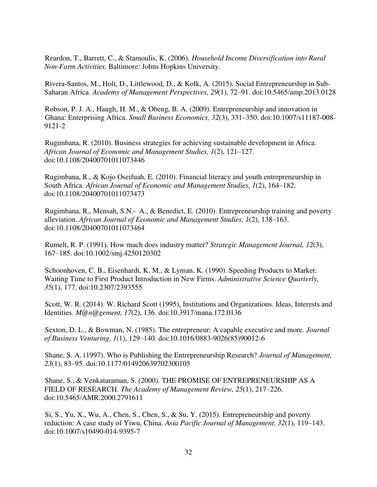Reardon, T., Barrett, C., & Stamoulis, K. (2006). *Household Income Diversification into Rural Non-Farm Activities*. Baltimore: Johns Hopkins University.

Rivera-Santos, M., Holt, D., Littlewood, D., & Kolk, A. (2015). Social Entrepreneurship in Sub-Saharan Africa. *Academy of Management Perspectives, 29*(1), 72–91. doi:10.5465/amp.2013.0128

Robson, P. J. A., Haugh, H. M., & Obeng, B. A. (2009). Entrepreneurship and innovation in Ghana: Enterprising Africa. *Small Business Economics, 32*(3), 331–350. doi:10.1007/s11187-008- 9121-2

Rugimbana, R. (2010). Business strategies for achieving sustainable development in Africa. *African Journal of Economic and Management Studies, 1*(2), 121–127. doi:10.1108/20400701011073446

Rugimbana, R., & Kojo Oseifuah, E. (2010). Financial literacy and youth entrepreneurship in South Africa. *African Journal of Economic and Management Studies, 1*(2), 164–182. doi:10.1108/20400701011073473

Rugimbana, R., Mensah, S.N.‐ A., & Benedict, E. (2010). Entrepreneurship training and poverty alleviation. *African Journal of Economic and Management Studies, 1*(2), 138–163. doi:10.1108/20400701011073464

Rumelt, R. P. (1991). How much does industry matter? *Strategic Management Journal, 12*(3), 167–185. doi:10.1002/smj.4250120302

Schoonhoven, C. B., Eisenhardt, K. M., & Lyman, K. (1990). Speeding Products to Market: Waiting Time to First Product Introduction in New Firms. *Administrative Science Quarterly, 35*(1), 177. doi:10.2307/2393555

Scott, W. R. (2014). W. Richard Scott (1995), Institutions and Organizations. Ideas, Interests and Identities. *M@n@gement, 17*(2), 136. doi:10.3917/mana.172.0136

Sexton, D. L., & Bowman, N. (1985). The entrepreneur: A capable executive and more. *Journal of Business Venturing, 1*(1), 129–140. doi:10.1016/0883-9026(85)90012-6

Shane, S. A. (1997). Who is Publishing the Entrepreneurship Research? *Journal of Management, 23*(1), 83–95. doi:10.1177/014920639702300105

Shane, S., & Venkataraman, S. (2000). THE PROMISE OF ENTREPRENEURSHIP AS A FIELD OF RESEARCH. *The Academy of Management Review, 25*(1), 217–226. doi:10.5465/AMR.2000.2791611

Si, S., Yu, X., Wu, A., Chen, S., Chen, S., & Su, Y. (2015). Entrepreneurship and poverty reduction: A case study of Yiwu, China. *Asia Pacific Journal of Management, 32*(1), 119–143. doi:10.1007/s10490-014-9395-7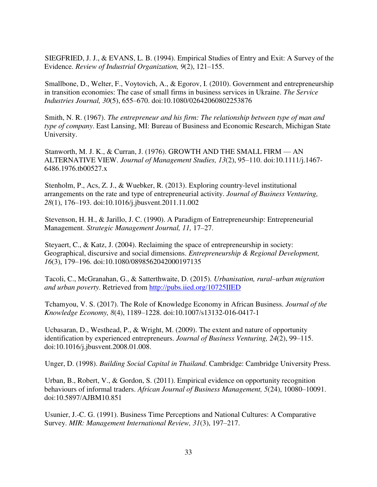SIEGFRIED, J. J., & EVANS, L. B. (1994). Empirical Studies of Entry and Exit: A Survey of the Evidence. *Review of Industrial Organization, 9*(2), 121–155.

Smallbone, D., Welter, F., Voytovich, A., & Egorov, I. (2010). Government and entrepreneurship in transition economies: The case of small firms in business services in Ukraine. *The Service Industries Journal, 30*(5), 655–670. doi:10.1080/02642060802253876

Smith, N. R. (1967). *The entrepreneur and his firm: The relationship between type of man and type of company*. East Lansing, MI: Bureau of Business and Economic Research, Michigan State University.

Stanworth, M. J. K., & Curran, J. (1976). GROWTH AND THE SMALL FIRM — AN ALTERNATIVE VIEW. *Journal of Management Studies, 13*(2), 95–110. doi:10.1111/j.1467- 6486.1976.tb00527.x

Stenholm, P., Acs, Z. J., & Wuebker, R. (2013). Exploring country-level institutional arrangements on the rate and type of entrepreneurial activity. *Journal of Business Venturing, 28*(1), 176–193. doi:10.1016/j.jbusvent.2011.11.002

Stevenson, H. H., & Jarillo, J. C. (1990). A Paradigm of Entrepreneurship: Entrepreneurial Management. *Strategic Management Journal, 11,* 17–27.

Steyaert, C., & Katz, J. (2004). Reclaiming the space of entrepreneurship in society: Geographical, discursive and social dimensions. *Entrepreneurship & Regional Development, 16*(3), 179–196. doi:10.1080/0898562042000197135

Tacoli, C., McGranahan, G., & Satterthwaite, D. (2015). *Urbanisation, rural–urban migration and urban poverty*. Retrieved from<http://pubs.iied.org/10725IIED>

Tchamyou, V. S. (2017). The Role of Knowledge Economy in African Business. *Journal of the Knowledge Economy, 8*(4), 1189–1228. doi:10.1007/s13132-016-0417-1

Ucbasaran, D., Westhead, P., & Wright, M. (2009). The extent and nature of opportunity identification by experienced entrepreneurs. *Journal of Business Venturing, 24*(2), 99–115. doi:10.1016/j.jbusvent.2008.01.008.

Unger, D. (1998). *Building Social Capital in Thailand*. Cambridge: Cambridge University Press.

Urban, B., Robert, V., & Gordon, S. (2011). Empirical evidence on opportunity recognition behaviours of informal traders. *African Journal of Business Management, 5*(24), 10080–10091. doi:10.5897/AJBM10.851

Usunier, J.-C. G. (1991). Business Time Perceptions and National Cultures: A Comparative Survey. *MIR: Management International Review, 31*(3), 197–217.